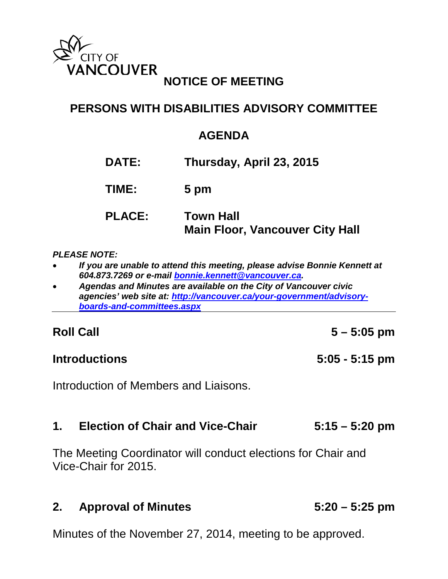

# **NOTICE OF MEETING**

# **PERSONS WITH DISABILITIES ADVISORY COMMITTEE**

# **AGENDA**

**DATE: Thursday, April 23, 2015**

**TIME: 5 pm**

**PLACE: Town Hall Main Floor, Vancouver City Hall**

#### *PLEASE NOTE:*

- *If you are unable to attend this meeting, please advise Bonnie Kennett at 604.873.7269 or e-mail [bonnie.kennett@vancouver.ca.](mailto:bonnie.kennett@vancouver.ca)*
- *Agendas and Minutes are available on the City of Vancouver civic agencies' web site at: [http://vancouver.ca/your-government/advisory](http://vancouver.ca/your-government/advisory-boards-and-committees.aspx)[boards-and-committees.aspx](http://vancouver.ca/your-government/advisory-boards-and-committees.aspx)*

#### **Roll Call 5 – 5:05 pm**

**Introductions 5:05 - 5:15 pm**

Introduction of Members and Liaisons.

# **1. Election of Chair and Vice-Chair 5:15 – 5:20 pm**

The Meeting Coordinator will conduct elections for Chair and Vice-Chair for 2015.

### **2. Approval of Minutes 5:20 – 5:25 pm**

Minutes of the November 27, 2014, meeting to be approved.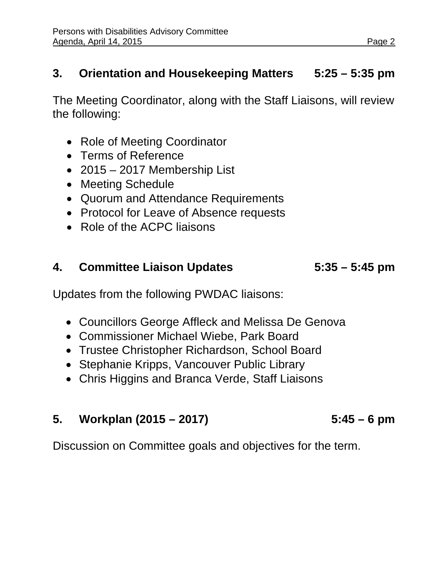# **3. Orientation and Housekeeping Matters 5:25 – 5:35 pm**

The Meeting Coordinator, along with the Staff Liaisons, will review the following:

- Role of Meeting Coordinator
- Terms of Reference
- 2015 2017 Membership List
- Meeting Schedule
- Quorum and Attendance Requirements
- Protocol for Leave of Absence requests
- Role of the ACPC liaisons

# **4. Committee Liaison Updates 5:35 – 5:45 pm**

Updates from the following PWDAC liaisons:

- Councillors George Affleck and Melissa De Genova
- Commissioner Michael Wiebe, Park Board
- Trustee Christopher Richardson, School Board
- Stephanie Kripps, Vancouver Public Library
- Chris Higgins and Branca Verde, Staff Liaisons

# **5. Workplan (2015 – 2017) 5:45 – 6 pm**

Discussion on Committee goals and objectives for the term.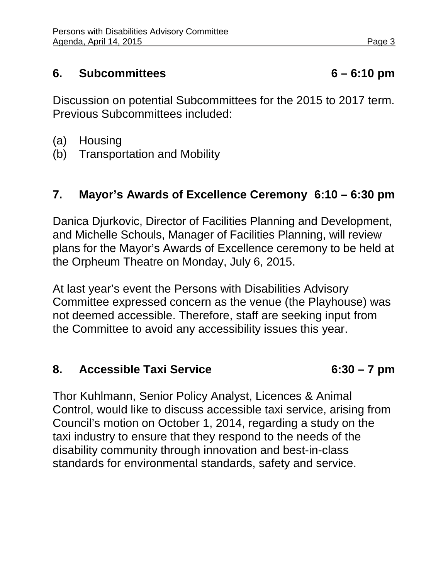## **6. Subcommittees 6 – 6:10 pm**

Discussion on potential Subcommittees for the 2015 to 2017 term. Previous Subcommittees included:

- (a) Housing
- (b) Transportation and Mobility

## **7. Mayor's Awards of Excellence Ceremony 6:10 – 6:30 pm**

Danica Djurkovic, Director of Facilities Planning and Development, and Michelle Schouls, Manager of Facilities Planning, will review plans for the Mayor's Awards of Excellence ceremony to be held at the Orpheum Theatre on Monday, July 6, 2015.

At last year's event the Persons with Disabilities Advisory Committee expressed concern as the venue (the Playhouse) was not deemed accessible. Therefore, staff are seeking input from the Committee to avoid any accessibility issues this year.

## **8. Accessible Taxi Service 6:30 – 7 pm**

Thor Kuhlmann, Senior Policy Analyst, Licences & Animal Control, would like to discuss accessible taxi service, arising from Council's motion on October 1, 2014, regarding a study on the taxi industry to ensure that they respond to the needs of the disability community through innovation and best-in-class standards for environmental standards, safety and service.